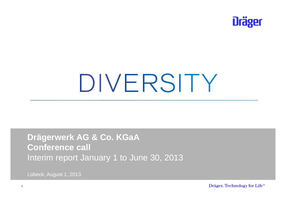

# DIVERSITY

**Drägerwerk AG & Co. KGaAConference call**Interim report January 1 to June 30, 2013

Lübeck, August 1, 2013

Dräger. Technology for Life<sup>®</sup>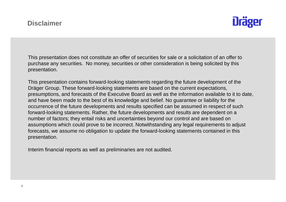

This presentation does not constitute an offer of securities for sale or a solicitation of an offer to purchase any securities. No money, securities or other consideration is being solicited by this presentation.

This presentation contains forward-looking statements regarding the future development of the Dräger Group. These forward-looking statements are based on the current expectations, presumptions, and forecasts of the Executive Board as well as the information available to it to date,and have been made to the best of its knowledge and belief. No guarantee or liability for the occurrence of the future developments and results specified can be assumed in respect of such forward-looking statements. Rather, the future developments and results are dependent on a number of factors; they entail risks and uncertainties beyond our control and are based on assumptions which could prove to be incorrect. Notwithstanding any legal requirements to adjust forecasts, we assume no obligation to update the forward-looking statements contained in this presentation.

Interim financial reports as well as preliminaries are not audited.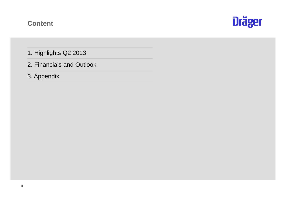#### **Content**



- 1. Highlights Q2 2013
- 2. Financials and Outlook
- 3. Appendix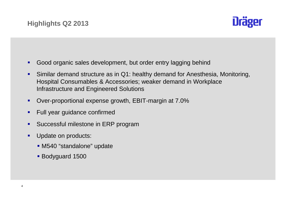

- ٠ Good organic sales development, but order entry lagging behind
- ٠ Similar demand structure as in Q1: healthy demand for Anesthesia, Monitoring, Hospital Consumables & Accessories; weaker demand in WorkplaceInfrastructure and Engineered Solutions
- ٠ Over-proportional expense growth, EBIT-margin at 7.0%
- ٠ Full year guidance confirmed
- $\blacksquare$ Successful milestone in ERP program
- $\blacksquare$  Update on products:
	- M540 "standalone" update
	- Bodyguard 1500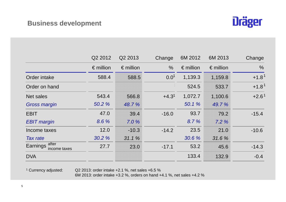

|                                | Q2 2012            | Q2 2013            | Change        | 6M 2012            | 6M 2013            | Change        |
|--------------------------------|--------------------|--------------------|---------------|--------------------|--------------------|---------------|
|                                | $\epsilon$ million | $\epsilon$ million | $\frac{0}{0}$ | $\epsilon$ million | $\epsilon$ million | $\frac{0}{0}$ |
| Order intake                   | 588.4              | 588.5              | $0.0^{1}$     | 1,139.3            | 1,159.8            | $+1.81$       |
| Order on hand                  |                    |                    |               | 524.5              | 533.7              | $+1.81$       |
| Net sales                      | 543.4              | 566.8              | $+4.31$       | 1,072.7            | 1,100.6            | $+2.61$       |
| <b>Gross margin</b>            | 50.2 %             | 48.7 %             |               | 50.1 %             | 49.7 %             |               |
| <b>EBIT</b>                    | 47.0               | 39.4               | $-16.0$       | 93.7               | 79.2               | $-15.4$       |
| <b>EBIT</b> margin             | 8.6 %              | 7.0%               |               | 8.7%               | 7.2%               |               |
| Income taxes                   | 12.0               | $-10.3$            | $-14.2$       | 23.5               | 21.0               | $-10.6$       |
| <b>Tax rate</b>                | 30.2 %             | 31.1%              |               | 30.6 %             | 31.6%              |               |
| Earnings after<br>income taxes | 27.7               | 23.0               | $-17.1$       | 53.2               | 45.6               | $-14.3$       |
| <b>DVA</b>                     |                    |                    |               | 133.4              | 132.9              | $-0.4$        |

<sup>1</sup> Currency adjusted:

Q2 2013: order intake +2.1 %, net sales +6.5 % 6M 2013: order intake +3.2 %, orders on hand +4.1 %, net sales +4.2 %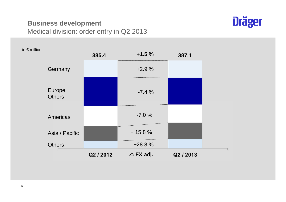#### **Business development**Medical division: order entry in Q2 2013



| in $\epsilon$ million |                         | 385.4     | $+1.5%$             | 387.1     |  |
|-----------------------|-------------------------|-----------|---------------------|-----------|--|
|                       | Germany                 |           | $+2.9%$             |           |  |
|                       | Europe<br><b>Others</b> |           | $-7.4%$             |           |  |
|                       | Americas                |           | $-7.0%$             |           |  |
|                       | Asia / Pacific          |           | $+ 15.8 %$          |           |  |
|                       | <b>Others</b>           |           | $+28.8%$            |           |  |
|                       |                         | Q2 / 2012 | $\triangle$ FX adj. | Q2 / 2013 |  |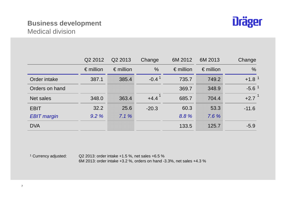#### **Business development**Medical division



|                    | Q <sub>2</sub> 2012 | Q <sub>2</sub> 2013 | Change        | 6M 2012            | 6M 2013            | Change        |
|--------------------|---------------------|---------------------|---------------|--------------------|--------------------|---------------|
|                    | $\epsilon$ million  | $\epsilon$ million  | $\frac{0}{0}$ | $\epsilon$ million | $\epsilon$ million | $\frac{0}{0}$ |
| Order intake       | 387.1               | 385.4               | $-0.41$       | 735.7              | 749.2              | $+1.81$       |
| Orders on hand     |                     |                     |               | 369.7              | 348.9              | $-5.61$       |
| Net sales          | 348.0               | 363.4               | $+4.4$        | 685.7              | 704.4              | $+2.7$        |
| <b>EBIT</b>        | 32.2                | 25.6                | $-20.3$       | 60.3               | 53.3               | $-11.6$       |
| <b>EBIT</b> margin | 9.2%                | 7.1%                |               | 8.8%               | 7.6%               |               |
| <b>DVA</b>         |                     |                     |               | 133.5              | 125.7              | $-5.9$        |

<sup>1</sup> Currency adjusted:

Q2 2013: order intake +1.5 %, net sales +6.5 % 6M 2013: order intake +3.2 %, orders on hand -3.3%, net sales +4.3 %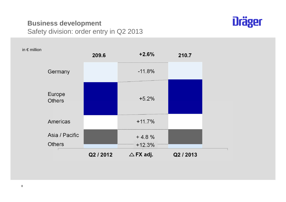#### **Business development**Safety division: order entry in Q2 2013



| in $\epsilon$ million |                                 | 209.6     | $+2.6%$             | 210.7     |  |
|-----------------------|---------------------------------|-----------|---------------------|-----------|--|
|                       | Germany                         |           | $-11.8%$            |           |  |
|                       | Europe<br><b>Others</b>         |           | $+5.2%$             |           |  |
|                       | Americas                        |           | $+11.7%$            |           |  |
|                       | Asia / Pacific<br><b>Others</b> |           | $+4.8%$<br>$+12.3%$ |           |  |
|                       |                                 | Q2 / 2012 | $\triangle$ FX adj. | Q2 / 2013 |  |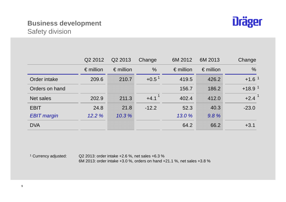### **Business development**Safety division



|                    | Q2 2012            | Q2 2013            | Change            | 6M 2012            | 6M 2013            | Change        |
|--------------------|--------------------|--------------------|-------------------|--------------------|--------------------|---------------|
|                    | $\epsilon$ million | $\epsilon$ million | $\%$              | $\epsilon$ million | $\epsilon$ million | $\frac{0}{0}$ |
| Order intake       | 209.6              | 210.7              | $+0.5^{\text{1}}$ | 419.5              | 426.2              | $+1.61$       |
| Orders on hand     |                    |                    |                   | 156.7              | 186.2              | $+18.91$      |
| Net sales          | 202.9              | 211.3              | $+4.1$            | 402.4              | 412.0              | $+2.4$        |
| <b>EBIT</b>        | 24.8               | 21.8               | $-12.2$           | 52.3               | 40.3               | $-23.0$       |
| <b>EBIT</b> margin | 12.2%              | 10.3%              |                   | 13.0 %             | 9.8%               |               |
| <b>DVA</b>         |                    |                    |                   | 64.2               | 66.2               | $+3.1$        |

<sup>1</sup> Currency adjusted:

Q2 2013: order intake +2.6 %, net sales +6.3 % 6M 2013: order intake +3.0 %, orders on hand +21.1 %, net sales +3.8 %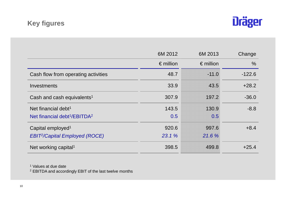# **Key figures**



|                                                      | 6M 2012            | 6M 2013            | Change        |
|------------------------------------------------------|--------------------|--------------------|---------------|
|                                                      | $\epsilon$ million | $\epsilon$ million | $\frac{0}{0}$ |
| Cash flow from operating activities                  | 48.7               | $-11.0$            | $-122.6$      |
| Investments                                          | 33.9               | 43.5               | $+28.2$       |
| Cash and cash equivalents <sup>1</sup>               | 307.9              | 197.2              | $-36.0$       |
| Net financial debt <sup>1</sup>                      | 143.5              | 130.9              | $-8.8$        |
| Net financial debt <sup>1</sup> /EBITDA <sup>2</sup> | 0.5                | 0.5                |               |
| Capital employed <sup>1</sup>                        | 920.6              | 997.6              | $+8.4$        |
| <b>EBIT<sup>2</sup>/Capital Employed (ROCE)</b>      | 23.1 %             | 21.6%              |               |
| Net working capital <sup>1</sup>                     | 398.5              | 499.8              | $+25.4$       |

1 Values at due date

 $^2$  EBITDA and accordingly EBIT of the last twelve months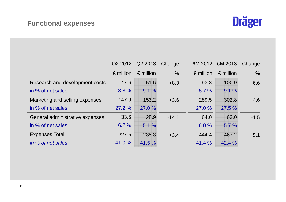# **Functional expenses**



|                                 | Q2 2012            | Q2 2013            | Change        |                    | 6M 2012 6M 2013    | Change        |
|---------------------------------|--------------------|--------------------|---------------|--------------------|--------------------|---------------|
|                                 | $\epsilon$ million | $\epsilon$ million | $\frac{0}{0}$ | $\epsilon$ million | $\epsilon$ million | $\frac{0}{0}$ |
| Research and development costs  | 47.6               | 51.6               | $+8.3$        | 93.8               | 100.0              | $+6.6$        |
| in % of net sales               | 8.8%               | 9.1%               |               | 8.7%               | 9.1%               |               |
| Marketing and selling expenses  | 147.9              | 153.2              | $+3.6$        | 289.5              | 302.8              | $+4.6$        |
| in % of net sales               | 27.2%              | 27.0%              |               | 27.0 %             | 27.5 %             |               |
| General administrative expenses | 33.6               | 28.9               | $-14.1$       | 64.0               | 63.0               | $-1.5$        |
| in % of net sales               | 6.2%               | 5.1%               |               | 6.0%               | 5.7%               |               |
| <b>Expenses Total</b>           | 227.5              | 235.3              | $+3.4$        | 444.4              | 467.2              | $+5.1$        |
| in % of net sales               | 41.9%              | 41.5 %             |               | 41.4 %             | 42.4 %             |               |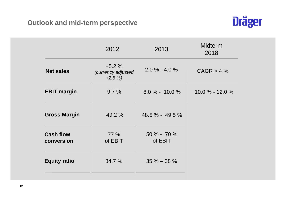

|                                | 2012                                     | 2013                     | <b>Midterm</b><br>2018 |
|--------------------------------|------------------------------------------|--------------------------|------------------------|
| <b>Net sales</b>               | $+5.2%$<br>(currency adjusted<br>$+2.5%$ | $2.0\% - 4.0\%$          | CAGR > 4%              |
| <b>EBIT margin</b>             | 9.7%                                     | $8.0\% - 10.0\%$         | $10.0\% - 12.0\%$      |
| <b>Gross Margin</b>            | 49.2 %                                   | 48.5 % - 49.5 %          |                        |
| <b>Cash flow</b><br>conversion | 77 %<br>of EBIT                          | $50\% - 70\%$<br>of EBIT |                        |
| <b>Equity ratio</b>            | 34.7 %                                   | $35\% - 38\%$            |                        |
|                                |                                          |                          |                        |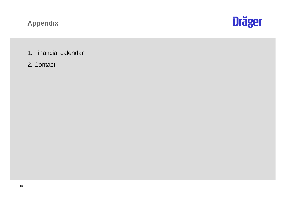# **Appendix**



1. Financial calendar

2. Contact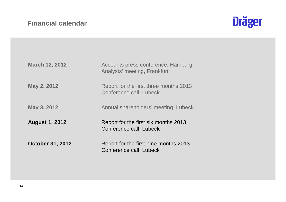

| <b>March 12, 2012</b>   | Accounts press conference, Hamburg<br>Analysts' meeting, Frankfurt |
|-------------------------|--------------------------------------------------------------------|
| May 2, 2012             | Report for the first three months 2013<br>Conference call, Lübeck  |
| May 3, 2012             | Annual shareholders' meeting, Lübeck                               |
| <b>August 1, 2012</b>   | Report for the first six months 2013<br>Conference call, Lübeck    |
| <b>October 31, 2012</b> | Report for the first nine months 2013<br>Conference call, Lübeck   |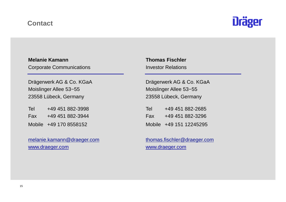#### **Contact**



#### **Melanie Kamann Thomas Fischler**Corporate Communications **Investor Relations**

Moislinger Allee 53−55 Moislinger Allee 53−5523558 Lübeck, Germany 23558 Lübeck, Germany

| Tel | +49 451 882-3998       |
|-----|------------------------|
| Fax | +49 451 882-3944       |
|     | Mobile +49 170 8558152 |

melanie.kamann@draeger.com thomas.fischler@draeger.comwww.draeger.com www.draeger.com

Drägerwerk AG & Co. KGaA Drägerwerk AG & Co. KGaA 23558 Lübeck, Germany

| Tel | +49 451 882-3998       |       | +49 451 882-2685        |
|-----|------------------------|-------|-------------------------|
| Fax | +49 451 882-3944       | - Fax | +49 451 882-3296        |
|     | Mobile +49 170 8558152 |       | Mobile +49 151 12245295 |